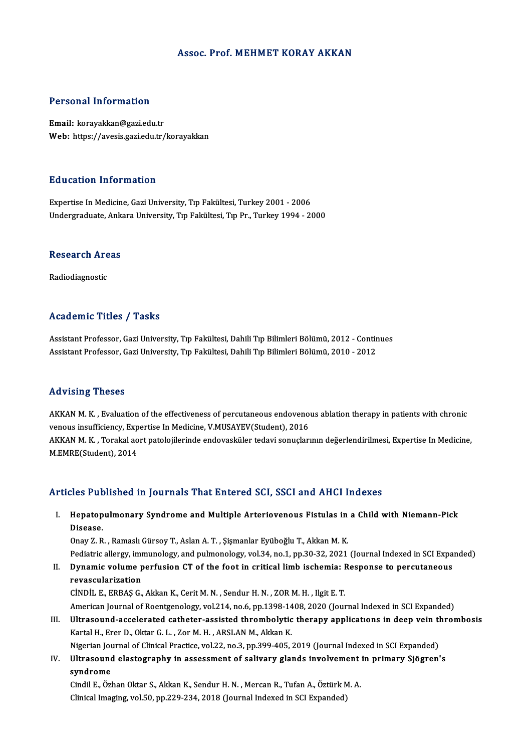#### Assoc. Prof.MEHMET KORAY AKKAN

#### Personal Information

Email: korayakkan@gazi.edu.tr Web: https://avesis.gazi.edu.tr/korayakkan

#### Education Information

Expertise In Medicine, Gazi University, Tıp Fakültesi, Turkey 2001 - 2006 Undergraduate, Ankara University, Tıp Fakültesi, Tıp Pr., Turkey 1994 - 2000

## ondergraduate, Anka<br>Research Areas <mark>Research Are</mark><br>Radiodiagnostic

## Radiodiagnostic<br>Academic Titles / Tasks

Assistant Professor, Gazi University, Tıp Fakültesi, Dahili Tıp Bilimleri Bölümü, 2012 - Continues Assistant Professor, Gazi University, Tıp Fakültesi, Dahili Tıp Bilimleri Bölümü, 2010 - 2012

#### Advising Theses

Advising Theses<br>AKKAN M. K. , Evaluation of the effectiveness of percutaneous endovenous ablation therapy in patients with chronic<br>venous insyfficionay Evnortice In Medicine V MUSAYEV(Student), 2016 venous insufficiency, Expertise In Mediciness of percutaneous endovenous<br>venous insufficiency, Expertise In Medicine, V.MUSAYEV(Student), 2016<br>AKKAN M.K., Terakal sert pataleiilerinde endovaskiller tedavi senualery venous insufficiency, Expertise In Medicine, V.MUSAYEV(Student), 2016<br>AKKAN M. K. , Torakal aort patolojilerinde endovasküler tedavi sonuçlarının değerlendirilmesi, Expertise In Medicine, M.EMRE(Student),2014

#### Articles Published in Journals That Entered SCI, SSCI and AHCI Indexes

I. Hepatopulmonary Syndrome and Multiple Arteriovenous Fistulas in a Child with Niemann-Pick Hepatop<br>Hepatop<br>Disease. Hepatopulmonary Syndrome and Multiple Arteriovenous Fistulas in<br>Disease.<br>Onay Z. R. , Ramaslı Gürsoy T., Aslan A. T. , Şişmanlar Eyüboğlu T., Akkan M. K.<br>Pediatris allergy immunelegy and pulmonelegy vel 34, no 1, np 30, 32 Disease.<br>Onay Z. R. , Ramaslı Gürsoy T., Aslan A. T. , Şişmanlar Eyüboğlu T., Akkan M. K.<br>Pediatric allergy, immunology, and pulmonology, vol.34, no.1, pp.30-32, 2021 (Journal Indexed in SCI Expanded)<br>Dunamis volume perfus

Onay Z. R. , Ramaslı Gürsoy T., Aslan A. T. , Şişmanlar Eyüboğlu T., Akkan M. K.<br>Pediatric allergy, immunology, and pulmonology, vol.34, no.1, pp.30-32, 2021 (Journal Indexed in SCI Expa<br>II. Dynamic volume perfusion CT Pediatric allergy, im<mark><br>Dynamic volume p<br>revascularization<br>Cinnit F FPPASC</mark>

CİNDİL E.,ERBAŞG.,AkkanK.,CeritM.N. ,SendurH.N. ,ZORM.H. , IlgitE.T. American Journal of Roentgenology, vol.214, no.6, pp.1398-1408, 2020 (Journal Indexed in SCI Expanded) CİNDİL E., ERBAŞ G., Akkan K., Cerit M. N., Sendur H. N., ZOR M. H., Ilgit E. T.<br>American Journal of Roentgenology, vol.214, no.6, pp.1398-1408, 2020 (Journal Indexed in SCI Expanded)<br>III. Ultrasound-accelerated catheter-a

American Journal of Roentgenology, vol.214, no.6, pp.1398-14<br>Ultrasound-accelerated catheter-assisted thrombolytic<br>Kartal H., Erer D., Oktar G. L. , Zor M. H. , ARSLAN M., Akkan K.<br>Nigorian Journal of Clinical Practice, vo Ultrasound-accelerated catheter-assisted thrombolytic therapy applications in deep vein the<br>Kartal H., Erer D., Oktar G. L. , Zor M. H. , ARSLAN M., Akkan K.<br>Nigerian Journal of Clinical Practice, vol.22, no.3, pp.399-405,

Kartal H., Erer D., Oktar G. L. , Zor M. H. , ARSLAN M., Akkan K.<br>Nigerian Journal of Clinical Practice, vol.22, no.3, pp.399-405, 2019 (Journal Indexed in SCI Expanded)<br>IV. Ultrasound elastography in assessment of salivar Nigerian Jou<br><mark>Ultrasoun</mark><br>syndrome<br>Gindil E. Örl Ultrasound elastography in assessment of salivary glands involvement<br>syndrome<br>Cindil E., Özhan Oktar S., Akkan K., Sendur H. N. , Mercan R., Tufan A., Öztürk M. A.<br>Clinicel Imaging vel 50. pp 220.224.2018 (Journal Indoved

s**yndrome**<br>Cindil E., Özhan Oktar S., Akkan K., Sendur H. N. , Mercan R., Tufan A., Öztürk M. A.<br>Clinical Imaging, vol.50, pp.229-234, 2018 (Journal Indexed in SCI Expanded)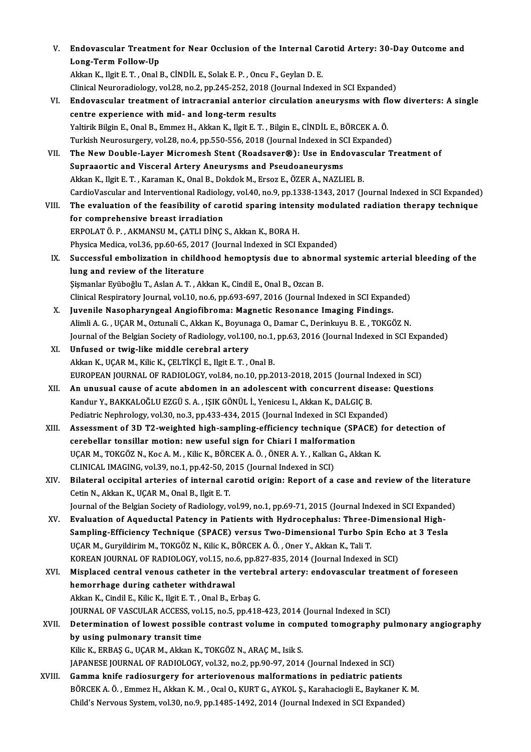| V.     | Endovascular Treatment for Near Occlusion of the Internal Carotid Artery: 30-Day Outcome and<br>Long-Term Follow-Up                                                                |
|--------|------------------------------------------------------------------------------------------------------------------------------------------------------------------------------------|
|        | Akkan K., Ilgit E. T., Onal B., CİNDİL E., Solak E. P., Oncu F., Geylan D. E.                                                                                                      |
|        | Clinical Neuroradiology, vol.28, no.2, pp.245-252, 2018 (Journal Indexed in SCI Expanded)                                                                                          |
| VI.    | Endovascular treatment of intracranial anterior circulation aneurysms with flow diverters: A single                                                                                |
|        |                                                                                                                                                                                    |
|        | centre experience with mid- and long-term results                                                                                                                                  |
|        | Yaltirik Bilgin E., Onal B., Emmez H., Akkan K., Ilgit E. T., Bilgin E., CİNDİL E., BÖRCEK A. Ö.                                                                                   |
|        | Turkish Neurosurgery, vol.28, no.4, pp.550-556, 2018 (Journal Indexed in SCI Expanded)                                                                                             |
| VII.   | The New Double-Layer Micromesh Stent (Roadsaver®): Use in Endovascular Treatment of                                                                                                |
|        | Supraaortic and Visceral Artery Aneurysms and Pseudoaneurysms                                                                                                                      |
|        | Akkan K., Ilgit E. T., Karaman K., Onal B., Dokdok M., Ersoz E., ÖZER A., NAZLIEL B.                                                                                               |
|        | CardioVascular and Interventional Radiology, vol.40, no.9, pp.1338-1343, 2017 (Journal Indexed in SCI Expanded)                                                                    |
| VIII.  | The evaluation of the feasibility of carotid sparing intensity modulated radiation therapy technique                                                                               |
|        | for comprehensive breast irradiation                                                                                                                                               |
|        | ERPOLAT Ö. P., AKMANSU M., ÇATLI DİNÇ S., Akkan K., BORA H.                                                                                                                        |
|        | Physica Medica, vol.36, pp.60-65, 2017 (Journal Indexed in SCI Expanded)                                                                                                           |
| IX.    | Successful embolization in childhood hemoptysis due to abnormal systemic arterial bleeding of the                                                                                  |
|        | lung and review of the literature                                                                                                                                                  |
|        | Şişmanlar Eyüboğlu T., Aslan A. T., Akkan K., Cindil E., Onal B., Ozcan B.                                                                                                         |
|        | Clinical Respiratory Journal, vol.10, no.6, pp.693-697, 2016 (Journal Indexed in SCI Expanded)                                                                                     |
| Х.     | Juvenile Nasopharyngeal Angiofibroma: Magnetic Resonance Imaging Findings.                                                                                                         |
|        | Alimli A. G., UÇAR M., Oztunali C., Akkan K., Boyunaga O., Damar C., Derinkuyu B. E., TOKGÖZ N.                                                                                    |
|        | Journal of the Belgian Society of Radiology, vol.100, no.1, pp.63, 2016 (Journal Indexed in SCI Expanded)                                                                          |
| XI.    | Unfused or twig-like middle cerebral artery<br>Akkan K., UÇAR M., Kilic K., ÇELTİKÇİ E., Ilgit E. T., Onal B.                                                                      |
|        |                                                                                                                                                                                    |
| XII.   | EUROPEAN JOURNAL OF RADIOLOGY, vol.84, no.10, pp.2013-2018, 2015 (Journal Indexed in SCI)<br>An unusual cause of acute abdomen in an adolescent with concurrent disease: Questions |
|        | Kandur Y., BAKKALOĞLU EZGÜ S. A., IŞIK GÖNÜL İ., Yenicesu I., Akkan K., DALGIÇ B.                                                                                                  |
|        | Pediatric Nephrology, vol.30, no.3, pp.433-434, 2015 (Journal Indexed in SCI Expanded)                                                                                             |
| XIII.  | Assessment of 3D T2-weighted high-sampling-efficiency technique (SPACE) for detection of                                                                                           |
|        | cerebellar tonsillar motion: new useful sign for Chiari I malformation                                                                                                             |
|        | UÇAR M., TOKGÖZ N., Koc A. M., Kilic K., BÖRCEK A. Ö., ÖNER A. Y., Kalkan G., Akkan K.                                                                                             |
|        | CLINICAL IMAGING, vol.39, no.1, pp.42-50, 2015 (Journal Indexed in SCI)                                                                                                            |
| XIV.   | Bilateral occipital arteries of internal carotid origin: Report of a case and review of the literature                                                                             |
|        | Cetin N., Akkan K., UÇAR M., Onal B., Ilgit E. T.                                                                                                                                  |
|        | Journal of the Belgian Society of Radiology, vol.99, no.1, pp.69-71, 2015 (Journal Indexed in SCI Expanded)                                                                        |
| XV.    | Evaluation of Aqueductal Patency in Patients with Hydrocephalus: Three-Dimensional High-                                                                                           |
|        | Sampling-Efficiency Technique (SPACE) versus Two-Dimensional Turbo Spin Echo at 3 Tesla                                                                                            |
|        | UÇAR M., Guryildirim M., TOKGÖZ N., Kilic K., BÖRCEK A. Ö., Oner Y., Akkan K., Tali T.                                                                                             |
|        | KOREAN JOURNAL OF RADIOLOGY, vol.15, no.6, pp.827-835, 2014 (Journal Indexed in SCI)                                                                                               |
| XVI.   | Misplaced central venous catheter in the vertebral artery: endovascular treatment of foreseen                                                                                      |
|        | hemorrhage during catheter withdrawal                                                                                                                                              |
|        | Akkan K., Cindil E., Kilic K., Ilgit E. T., Onal B., Erbaş G.                                                                                                                      |
|        | JOURNAL OF VASCULAR ACCESS, vol.15, no.5, pp.418-423, 2014 (Journal Indexed in SCI)                                                                                                |
| XVII.  | Determination of lowest possible contrast volume in computed tomography pulmonary angiography                                                                                      |
|        | by using pulmonary transit time                                                                                                                                                    |
|        | Kilic K., ERBAŞ G., UÇAR M., Akkan K., TOKGÖZ N., ARAÇ M., Isik S.                                                                                                                 |
|        | JAPANESE JOURNAL OF RADIOLOGY, vol.32, no.2, pp.90-97, 2014 (Journal Indexed in SCI)                                                                                               |
| XVIII. | Gamma knife radiosurgery for arteriovenous malformations in pediatric patients                                                                                                     |
|        | BÖRCEK A. Ö., Emmez H., Akkan K. M., Ocal O., KURT G., AYKOL Ş., Karahaciogli E., Baykaner K. M.                                                                                   |
|        | Child's Nervous System, vol.30, no.9, pp.1485-1492, 2014 (Journal Indexed in SCI Expanded)                                                                                         |
|        |                                                                                                                                                                                    |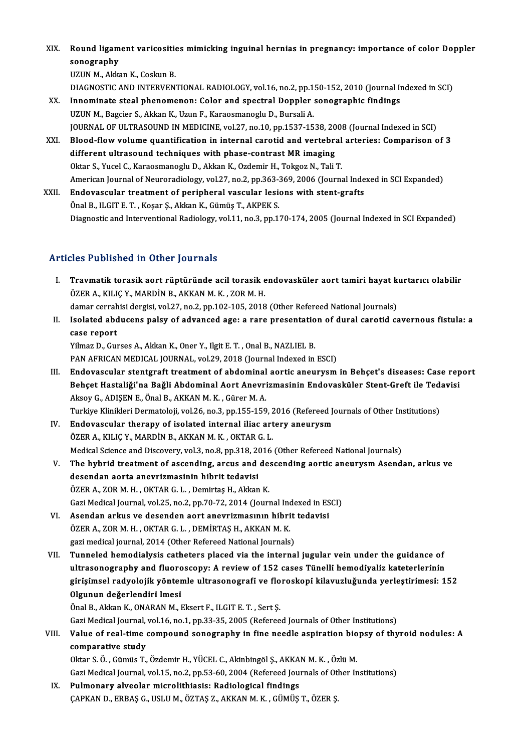XIX. Round ligament varicositiesmimicking inguinal hernias in pregnancy: importance of color Doppler Round ligam<br>sonography<br>UZUN M. Alig sonography<br>UZUN M., Akkan K., Coskun B.

DIAGNOSTIC AND INTERVENTIONAL RADIOLOGY, vol.16, no.2, pp.150-152, 2010 (Journal Indexed in SCI)

- XX. Innominate steal phenomenon: Color and spectral Doppler sonographic findings UZUN M., Bagcier S., Akkan K., Uzun F., Karaosmanoglu D., Bursali A. Innominate steal phenomenon: Color and spectral Doppler sonographic findings<br>UZUN M., Bagcier S., Akkan K., Uzun F., Karaosmanoglu D., Bursali A.<br>JOURNAL OF ULTRASOUND IN MEDICINE, vol.27, no.10, pp.1537-1538, 2008 (Journa UZUN M., Bagcier S., Akkan K., Uzun F., Karaosmanoglu D., Bursali A.<br>JOURNAL OF ULTRASOUND IN MEDICINE, vol.27, no.10, pp.1537-1538, 2008 (Journal Indexed in SCI)<br>XXI. Blood-flow volume quantification in internal carotid a
- JOURNAL OF ULTRASOUND IN MEDICINE, vol.27, no.10, pp.1537-1538, 20<br>Blood-flow volume quantification in internal carotid and vertebra<br>different ultrasound techniques with phase-contrast MR imaging<br>Oktor S. Yusel G. Karasama Blood-flow volume quantification in internal carotid and vertebral<br>different ultrasound techniques with phase-contrast MR imaging<br>Oktar S., Yucel C., Karaosmanoglu D., Akkan K., Ozdemir H., Tokgoz N., Tali T.<br>American Jour Oktar S., Yucel C., Karaosmanoglu D., Akkan K., Ozdemir H., Tokgoz N., Tali T.<br>American Journal of Neuroradiology, vol.27, no.2, pp.363-369, 2006 (Journal Indexed in SCI Expanded)
- XXII. Endovascular treatment of peripheral vascular lesions with stent-grafts Önal B., ILGIT E.T., Koşar Ş., Akkan K., Gümüş T., AKPEK S. Diagnostic and Interventional Radiology, vol.11, no.3, pp.170-174, 2005 (Journal Indexed in SCI Expanded)

#### Articles Published in Other Journals

- I. Travmatik torasik aort rüptüründe acil torasik endovasküler aort tamiri hayat kurtarıcı olabilir ÖZER A., KILIÇ Y., MARDİN B., AKKAN M. K., ZOR M. H. Travmatik torasik aort rüptüründe acil torasik endovasküler aort tamiri hayat k<br>ÖZER A., KILIÇ Y., MARDİN B., AKKAN M. K. , ZOR M. H.<br>damar cerrahisi dergisi, vol.27, no.2, pp.102-105, 2018 (Other Refereed National Journal ÖZER A., KILIÇ Y., MARDİN B., AKKAN M. K. , ZOR M. H.<br>damar cerrahisi dergisi, vol.27, no.2, pp.102-105, 2018 (Other Refereed National Journals)<br>II. Isolated abducens palsy of advanced age: a rare presentation of dural car
- damar cerrah<br>Isolated abd<br>case report<br><sup>Vilmaz D.</sup> Cu Isolated abducens palsy of advanced age: a rare presentatio<br>case report<br>Yilmaz D., Gurses A., Akkan K., Oner Y., Ilgit E. T. , Onal B., NAZLIEL B.<br>BAN AERICAN MEDICAL JOURNAL, vol.29, 2019 (Journal Indoved in

case report<br>Pilmaz D., Gurses A., Akkan K., Oner Y., Ilgit E. T. , Onal B., NAZLIEL B.<br>PAN AFRICAN MEDICAL JOURNAL, vol.29, 2018 (Journal Indexed in ESCI)

- Yilmaz D., Gurses A., Akkan K., Oner Y., Ilgit E. T. , Onal B., NAZLIEL B.<br>PAN AFRICAN MEDICAL JOURNAL, vol.29, 2018 (Journal Indexed in ESCI)<br>III. Endovascular stentgraft treatment of abdominal aortic aneurysm in Behçet's PAN AFRICAN MEDICAL JOURNAL, vol.29, 2018 (Journal Indexed in ESCI)<br>Endovascular stentgraft treatment of abdominal aortic aneurysm in Behçet's diseases: Case rep<br>Behçet Hastaliği'na Bağli Abdominal Aort Anevrizmasinin Endo Endovascular stentgraft treatment of abdominal<br>Behçet Hastaliği'na Bağli Abdominal Aort Anevri<br>Aksoy G., ADIŞEN E., Önal B., AKKAN M. K. , Gürer M. A.<br>Turkiye Klinikleri Dermetaleji vel 26 no 2 nn 155 150 Behçet Hastaliği'na Bağli Abdominal Aort Anevrizmasinin Endovasküler Stent-Greft ile Tedavisi<br>Aksoy G., ADIŞEN E., Önal B., AKKAN M. K. , Gürer M. A.<br>Turkiye Klinikleri Dermatoloji, vol.26, no.3, pp.155-159, 2016 (Refereed Aksoy G., ADIŞEN E., Önal B., AKKAN M. K., Gürer M. A.<br>Turkiye Klinikleri Dermatoloji, vol.26, no.3, pp.155-159, 2016 (Refereed Jo<br>IV. Endovascular therapy of isolated internal iliac artery aneurysm<br>ÖZER A. KU IC V. MARDİN
- Turkiye Klinikleri Dermatoloji, vol.26, no.3, pp.155-159, 2<br>Endovascular therapy of isolated internal iliac art<br>ÖZER A., KILIÇ Y., MARDİN B., AKKAN M. K. , OKTAR G. L.<br>Medisəl Ssiense and Disseyery, val.2, no.2, np.212, 20 ÖZER A., KILIÇ Y., MARDİN B., AKKAN M. K. , OKTAR G. L.<br>Medical Science and Discovery, vol.3, no.8, pp.318, 2016 (Other Refereed National Journals) ÖZER A., KILIÇ Y., MARDİN B., AKKAN M. K. , OKTAR G. L.<br>Medical Science and Discovery, vol.3, no.8, pp.318, 2016 (Other Refereed National Journals)<br>V. The hybrid treatment of ascending, arcus and descending aortic aneurysm
- Medical Science and Discovery, vol.3, no.8, pp.318, 20<br>The hybrid treatment of ascending, arcus and<br>desendan aorta anevrizmasinin hibrit tedavisi<br>ÖZEP A. ZOP M.H., OKTAP G.J., Domintes H. Aldran The hybrid treatment of ascending, arcus and de:<br>desendan aorta anevrizmasinin hibrit tedavisi<br>ÖZER A., ZOR M. H., OKTAR G. L., Demirtaş H., Akkan K.<br>Ceri Medisel Journal vol 25, no 2, nn 70, 72, 2014 (Journ desendan aorta anevrizmasinin hibrit tedavisi<br>ÖZER A., ZOR M. H. , OKTAR G. L. , Demirtaş H., Akkan K.<br>Gazi Medical Journal, vol.25, no.2, pp.70-72, 2014 (Journal Indexed in ESCI)<br>Asendan arkus vo desenden aert anevrizması ÖZER A., ZOR M. H. , OKTAR G. L. , Demirtaş H., Akkan K.<br>Gazi Medical Journal, vol.25, no.2, pp.70-72, 2014 (Journal Indexed in ES<br>VI. Asendan arkus ve desenden aort anevrizmasının hibrit tedavisi<br>ÖZER A. ZOR M. H. OKTAR G
- Gazi Medical Journal, vol.25, no.2, pp.70-72, 2014 (Journal Inc<br>Asendan arkus ve desenden aort anevrizmasının hibri<br>ÖZER A., ZOR M. H. , OKTAR G. L. , DEMİRTAŞ H., AKKAN M. K.<br>gazi medical journal, 2014 (Other Pefereed Nat VI. Asendan arkus ve desenden aort anevrizmasının hibrit tedavisi<br>ÖZER A., ZOR M. H., OKTAR G. L., DEMİRTAŞ H., AKKAN M. K.<br>gazi medical journal, 2014 (Other Refereed National Journals)
- VII. Tunneled hemodialysis catheters placed via the internal jugular vein under the guidance of gazi medical journal, 2014 (Other Refereed National Journals)<br>Tunneled hemodialysis catheters placed via the internal jugular vein under the guidance of<br>ultrasonography and fluoroscopy: A review of 152 cases Tünelli hemodi Tunneled hemodialysis catheters placed via the internal jugular vein under the guidance of<br>ultrasonography and fluoroscopy: A review of 152 cases Tünelli hemodiyaliz kateterlerinin<br>girişimsel radyolojik yöntemle ultrasonog ultrasonography and fluoro<br>girişimsel radyolojik yönten<br>Olgunun değerlendiri lmesi<br>Önel B. Akkan K. ONARAN M. L girişimsel radyolojik yöntemle ultrasonografi ve flo<br>Olgunun değerlendiri Imesi<br>Önal B., Akkan K., ONARAN M., Eksert F., ILGIT E. T. , Sert Ş.<br>Ceri Medisel Journal vel 16 no 1 nn <sup>22 25,</sup> 2005 (Beferee

Olgunun değerlendiri lmesi<br>Önal B., Akkan K., ONARAN M., Eksert F., ILGIT E. T. , Sert Ş.<br>Gazi Medical Journal, vol.16, no.1, pp.33-35, 2005 (Refereed Journals of Other Institutions)<br>Volue of real, time sempound senesyaphy

### Önal B., Akkan K., ONARAN M., Eksert F., ILGIT E. T. , Sert Ş.<br>Gazi Medical Journal, vol.16, no.1, pp.33-35, 2005 (Refereed Journals of Other Institutions)<br>VIII. Value of real-time compound sonography in fine needle as Gazi Medical Journal,<br>Value of real-time<br>comparative study<br>Oltar S.Ö. Gümüs T Value of real-time compound sonography in fine needle aspiration bio<br>comparative study<br>Oktar S.Ö., Gümüs T., Özdemir H., YÜCEL C., Akinbingöl Ş., AKKAN M. K. , Özlü M.<br>Ceri Medisel Journal vel 15, no 2, np 52, 60, 2004 (Re comparative study<br>Oktar S. Ö. , Gümüs T., Özdemir H., YÜCEL C., Akinbingöl Ş., AKKAN M. K. , Özlü M.<br>Gazi Medical Journal, vol.15, no.2, pp.53-60, 2004 (Refereed Journals of Other Institutions)<br>Pulmenowy alveolar misrolith

### Oktar S. Ö., Gümüs T., Özdemir H., YÜCEL C., Akinbingöl Ş., AKKA<br>Gazi Medical Journal, vol.15, no.2, pp.53-60, 2004 (Refereed Jour<br>IX. Pulmonary alveolar microlithiasis: Radiological findings<br>CARKAN D. ERRAS G. USLUM ÖZTAS Gazi Medical Journal, vol.15, no.2, pp.53-60, 2004 (Refereed Journals of Otl<br><mark>Pulmonary alveolar microlithiasis: Radiological findings</mark><br>ÇAPKAN D., ERBAŞ G., USLU M., ÖZTAŞ Z., AKKAN M. K. , GÜMÜŞ T., ÖZER Ş.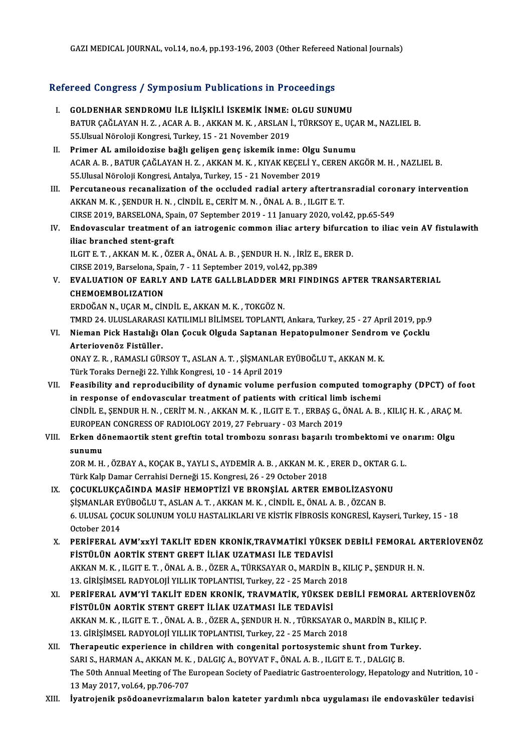GAZI MEDICAL JOURNAL, vol.14, no.4, pp.193-196, 2003 (Other Refereed National Journals)

# GAZI MEDICAL JOOKNAL, VOL14, no.4, pp.193-196, 2003 (Other Kerereed<br>Refereed Congress / Symposium Publications in Proceedings

|       | Refereed Congress / Symposium Publications in Proceedings                                                      |
|-------|----------------------------------------------------------------------------------------------------------------|
| Ι.    | GOLDENHAR SENDROMU İLE İLİŞKİLİ İSKEMİK İNME: OLGU SUNUMU                                                      |
|       | BATUR ÇAĞLAYAN H. Z., ACAR A. B., AKKAN M. K., ARSLAN İ., TÜRKSOY E., UÇAR M., NAZLIEL B.                      |
|       | 55 Ulsual Nöroloji Kongresi, Turkey, 15 - 21 November 2019                                                     |
| П.    | Primer AL amiloidozise bağlı gelişen genç iskemik inme: Olgu Sunumu                                            |
|       | ACAR A. B., BATUR ÇAĞLAYAN H. Z., AKKAN M. K., KIYAK KEÇELİ Y., CEREN AKGÖR M. H., NAZLIEL B.                  |
|       | 55. Ulusal Nöroloji Kongresi, Antalya, Turkey, 15 - 21 November 2019                                           |
| III.  | Percutaneous recanalization of the occluded radial artery aftertransradial coronary intervention               |
|       | AKKAN M.K., ŞENDUR H.N., CİNDİL E., CERİT M.N., ÖNAL A.B., ILGIT E.T.                                          |
|       | CIRSE 2019, BARSELONA, Spain, 07 September 2019 - 11 January 2020, vol.42, pp.65-549                           |
| IV.   | Endovascular treatment of an iatrogenic common iliac artery bifurcation to iliac vein AV fistulawith           |
|       | iliac branched stent-graft                                                                                     |
|       | ILGIT E. T., AKKAN M. K., ÖZER A., ÖNAL A. B., ŞENDUR H. N., İRİZ E., ERER D.                                  |
|       | CIRSE 2019, Barselona, Spain, 7 - 11 September 2019, vol.42, pp.389                                            |
| V.    | EVALUATION OF EARLY AND LATE GALLBLADDER MRI FINDINGS AFTER TRANSARTERIAL                                      |
|       | <b>CHEMOEMBOLIZATION</b>                                                                                       |
|       | ERDOĞAN N., UÇAR M., CİNDİL E., AKKAN M. K., TOKGÖZ N.                                                         |
|       | TMRD 24. ULUSLARARASI KATILIMLI BİLİMSEL TOPLANTI, Ankara, Turkey, 25 - 27 April 2019, pp.9                    |
| VI.   | Nieman Pick Hastalığı Olan Çocuk Olguda Saptanan Hepatopulmoner Sendrom ve Çocklu<br>Arteriovenöz Fistüller.   |
|       | ONAY Z. R., RAMASLI GÜRSOY T., ASLAN A. T., ŞİŞMANLAR EYÜBOĞLU T., AKKAN M. K.                                 |
|       | Türk Toraks Derneği 22. Yıllık Kongresi, 10 - 14 April 2019                                                    |
| VII.  | Feasibility and reproducibility of dynamic volume perfusion computed tomography (DPCT) of foot                 |
|       | in response of endovascular treatment of patients with critical limb ischemi                                   |
|       | CİNDİL E., ŞENDUR H. N., CERİT M. N., AKKAN M. K., ILGIT E. T., ERBAŞ G., ÖNAL A. B., KILIÇ H. K., ARAÇ M.     |
|       | EUROPEAN CONGRESS OF RADIOLOGY 2019, 27 February - 03 March 2019                                               |
| VIII. | Erken dönemaortik stent greftin total trombozu sonrası başarılı trombektomi ve onarım: Olgu                    |
|       | sunumu                                                                                                         |
|       | ZOR M. H., ÖZBAY A., KOÇAK B., YAYLI S., AYDEMİR A. B., AKKAN M. K., ERER D., OKTAR G. L.                      |
|       | Türk Kalp Damar Cerrahisi Derneği 15. Kongresi, 26 - 29 October 2018                                           |
| IX.   | ÇOCUKLUKÇAĞINDA MASİF HEMOPTIZI VE BRONŞIAL ARTER EMBOLIZASYONU                                                |
|       | ŞİŞMANLAR EYÜBOĞLU T., ASLAN A. T., AKKAN M. K., CİNDİL E., ÖNAL A. B., ÖZCAN B.                               |
|       | 6. ULUSAL ÇOCUK SOLUNUM YOLU HASTALIKLARI VE KİSTİK FİBROSİS KONGRESİ, Kayseri, Turkey, 15 - 18                |
|       | October 2014                                                                                                   |
| Х.    | PERIFERAL AVM'xxYİ TAKLİT EDEN KRONİK, TRAVMATİKİ YÜKSEK DEBİLİ FEMORAL ARTERİOVENÖZ                           |
|       | FİSTÜLÜN AORTİK STENT GREFT İLİAK UZATMASI İLE TEDAVİSİ                                                        |
|       | AKKAN M. K., ILGIT E. T., ÖNAL A. B., ÖZER A., TÜRKSAYAR O., MARDİN B., KILIÇ P., ŞENDUR H. N.                 |
|       | 13. GİRİŞİMSEL RADYOLOJİ YILLIK TOPLANTISI, Turkey, 22 - 25 March 2018                                         |
| XI.   | PERIFERAL AVM'YI TAKLIT EDEN KRONIK, TRAVMATIK, YÜKSEK DEBILI FEMORAL ARTERIOVENÖZ                             |
|       | FİSTÜLÜN AORTİK STENT GREFT İLİAK UZATMASI İLE TEDAVİSİ                                                        |
|       | AKKAN M. K., ILGIT E. T., ÖNAL A. B., ÖZER A., ŞENDUR H. N., TÜRKSAYAR O., MARDİN B., KILIÇ P.                 |
|       | 13. GİRİŞİMSEL RADYOLOJİ YILLIK TOPLANTISI, Turkey, 22 - 25 March 2018                                         |
| XII.  | Therapeutic experience in children with congenital portosystemic shunt from Turkey.                            |
|       | SARI S., HARMAN A., AKKAN M. K., DALGIÇ A., BOYVAT F., ÖNAL A. B., ILGIT E. T., DALGIÇ B.                      |
|       | The 50th Annual Meeting of The European Society of Paediatric Gastroenterology, Hepatology and Nutrition, 10 - |
|       | 13 May 2017, vol.64, pp.706-707                                                                                |
| XIII. | İyatrojenik psödoanevrizmaların balon kateter yardımlı nbca uygulaması ile endovasküler tedavisi               |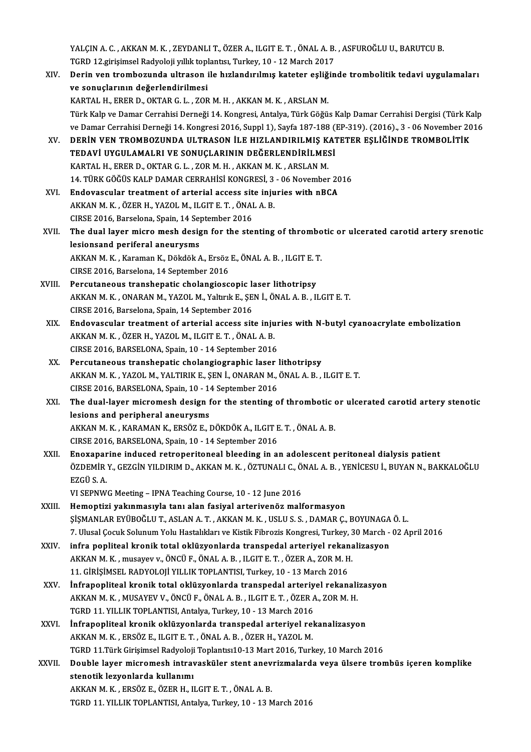YALÇIN A. C. , AKKAN M. K. , ZEYDANLI T., ÖZER A., ILGIT E. T. , ÖNAL A. B. , ASFUROĞLU U., BARUTCU B.<br>TCPD 12 sinisimsel Badyaleji ulluk tenleptes. Turkey, 10, 13 Marsh 3017. YALÇIN A. C. , AKKAN M. K. , ZEYDANLI T., ÖZER A., ILGIT E. T. , ÖNAL A. B.<br>TGRD 12.girişimsel Radyoloji yıllık toplantısı, Turkey, 10 - 12 March 2017<br>Denin ven trambagunda ultrasan ile bırlandırılmış katatar saliğin YALÇIN A. C. , AKKAN M. K. , ZEYDANLI T., ÖZER A., ILGIT E. T. , ÖNAL A. B. , ASFUROĞLU U., BARUTCU B.<br>TGRD 12.girişimsel Radyoloji yıllık toplantısı, Turkey, 10 - 12 March 2017<br>XIV. Derin ven trombozunda ultrason ile hızl

TGRD 12.girişimsel Radyoloji yıllık toplantısı, Turkey, 10 - 12 March 2017<br>Derin ven trombozunda ultrason ile hızlandırılmış kateter eşliğir<br>ve sonuçlarının değerlendirilmesi<br>KARTAL H., ERER D., OKTAR G. L. , ZOR M. H. , A Derin ven trombozunda ultrason ile hızlandırılmış kateter eşliğ<br>ve sonuçlarının değerlendirilmesi<br>KARTAL H., ERER D., OKTAR G. L. , ZOR M. H. , AKKAN M. K. , ARSLAN M.<br>Türk Kalp ve Damar Cerrabisi Derneği 14. Kongresi, Ant Türk Kalp ve Damar Cerrahisi Derneği 14. Kongresi, Antalya, Türk Göğüs Kalp Damar Cerrahisi Dergisi (Türk Kalp KARTAL H., ERER D., OKTAR G. L. , ZOR M. H. , AKKAN M. K. , ARSLAN M.<br>Türk Kalp ve Damar Cerrahisi Derneği 14. Kongresi, Antalya, Türk Göğüs Kalp Damar Cerrahisi Dergisi (Türk Kalp<br>ve Damar Cerrahisi Derneği 14. Kongresi 2 Türk Kalp ve Damar Cerrahisi Derneği 14. Kongresi, Antalya, Türk Göğüs Kalp Damar Cerrahisi Dergisi (Türk Kate<br>14. Kongresi 2016, Suppl 1), Sayfa 187-188 (EP-319). (2016)., 3 - 06 November 20<br>2018. NV. DERİN VEN TROMBOZUND ve Damar Cerrahisi Derneği 14. Kongresi 2016, Suppl 1), Sayfa 187-188 (<br>DERİN VEN TROMBOZUNDA ULTRASON İLE HIZLANDIRILMIŞ KAT<br>TEDAVİ UYGULAMALRI VE SONUÇLARININ DEĞERLENDİRİLMESİ<br>KARTAL HI ERER DI OKTAR GILI ZOR MIHI AKKAN

DERİN VEN TROMBOZUNDA ULTRASON İLE HIZLANDIRILMIŞ KATETER EŞLİĞİNDE TROMBOLİTİK<br>TEDAVİ UYGULAMALRI VE SONUÇLARININ DEĞERLENDİRİLMESİ<br>KARTAL H., ERER D., OKTAR G. L. , ZOR M. H. , AKKAN M. K. , ARSLAN M. TEDAVİ UYGULAMALRI VE SONUÇLARININ DEĞERLENDİRİLMESİ<br>KARTAL H., ERER D., OKTAR G. L. , ZOR M. H. , AKKAN M. K. , ARSLAN M.<br>14. TÜRK GÖĞÜS KALP DAMAR CERRAHİSİ KONGRESİ, 3 - 06 November 2016<br>Endovesevler trostment of arteri

- XVI. Endovascular treatment of arterial access site injuries with nBCA 14. TÜRK GÖĞÜS KALP DAMAR CERRAHİSİ KONGRESİ, 3<br>Endovascular treatment of arterial access site inju<br>AKKAN M. K. , ÖZER H., YAZOL M., ILGIT E. T. , ÖNAL A. B.<br>CIBSE 2016, Barsalana Spain 14 Santambar 2016 Endovascular treatment of arterial access sit<br>AKKAN M. K. , ÖZER H., YAZOL M., ILGIT E. T. , ÖNAI<br>CIRSE 2016, Barselona, Spain, 14 September 2016<br>The dual layer misre mesh design for the sta
- AKKAN M. K. , ÖZER H., YAZOL M., ILGIT E. T. , ÖNAL A. B.<br>CIRSE 2016, Barselona, Spain, 14 September 2016<br>XVII. The dual layer micro mesh design for the stenting of thrombotic or ulcerated carotid artery srenotic<br>logioneen CIRSE 2016, Barselona, Spain, 14 Sep<br>The dual layer micro mesh designal<br>lesionsand periferal aneurysms The dual layer micro mesh design for the stenting of thrombo<br>lesionsand periferal aneurysms<br>AKKAN M. K. , Karaman K., Dökdök A., Ersöz E., ÖNAL A. B. , ILGIT E. T.<br>CIBSE 2016, Barselone 14 Sentember 2016 lesionsand periferal aneurysms<br>AKKAN M. K., Karaman K., Dökdök A., Ersöz E., ÖNAL A. B., ILGIT E. T.<br>CIRSE 2016, Barselona, 14 September 2016
- XVIII. Percutaneous transhepatic cholangioscopic laser lithotripsy CIRSE 2016, Barselona, 14 September 2016<br>Percutaneous transhepatic cholangioscopic laser lithotripsy<br>AKKAN M. K. , ONARAN M., YAZOL M., Yaltırık E., ŞEN İ., ÖNAL A. B. , ILGIT E. T.<br>CIBSE 2016, Barselane, Spain, 14 Septemb Percutaneous transhepatic cholangioscopic la<br>AKKAN M. K. , ONARAN M., YAZOL M., Yaltırık E., ŞE<br>CIRSE 2016, Barselona, Spain, 14 September 2016<br>Endovescular traatment of artorial assess sit
	- XIX. Endovascular treatment of arterial access site injuries with N-butyl cyanoacrylate embolization AKKANM.K. ,ÖZERH.,YAZOLM., ILGITE.T. ,ÖNALA.B. CIRSE 2016, BARSELONA, Spain, 10 - 14 September 2016
	- XX. Percutaneous transhepatic cholangiographic laser lithotripsy CIRSE 2016, BARSELONA, Spain, 10 - 14 September 2016<br>Percutaneous transhepatic cholangiographic laser lithotripsy<br>AKKAN M. K. , YAZOL M., YALTIRIK E., ŞEN İ., ONARAN M., ÖNAL A. B. , ILGIT E. T.<br>CIBSE 2016, BARSELONA, Spai Percutaneous transhepatic cholangiographic laser<br>AKKAN M. K., YAZOL M., YALTIRIK E., ŞEN İ., ONARAN M.,<br>CIRSE 2016, BARSELONA, Spain, 10 - 14 September 2016<br>The dual layer misromash design for the stanting e AKKAN M. K. , YAZOL M., YALTIRIK E., ŞEN İ., ONARAN M., ÖNAL A. B. , ILGIT E. T.<br>CIRSE 2016, BARSELONA, Spain, 10 - 14 September 2016<br>XXI. The dual-layer micromesh design for the stenting of thrombotic or ulcerated car

CIRSE 2016, BARSELONA, Spain,  $10 - 14$  September 2016<br>The dual-layer micromesh design for the stenting  $\alpha$ <br>lesions and peripheral aneurysms The dual-layer micromesh design for the stenting of thrombotic of<br>lesions and peripheral aneurysms<br>AKKAN M. K. , KARAMAN K., ERSÖZ E., DÖKDÖK A., ILGIT E. T. , ÖNAL A. B.<br>CIBSE 2016, RABSELONA, Spain 10, 14 Santambar 2016 AKKAN M. K., KARAMAN K., ERSÖZ E., DÖKDÖK A., ILGIT E. T., ÖNAL A. B.<br>CIRSE 2016, BARSELONA, Spain, 10 - 14 September 2016 XXI . AKKAN M. K., KARAMAN K., ERSÖZ E., DÖKDÖK A., ILGIT E. T. , ÖNAL A. B.<br>CIRSE 2016, BARSELONA, Spain, 10 - 14 September 2016<br>XXII. Enoxaparine induced retroperitoneal bleeding in an adolescent peritoneal dialysis pati

CIRSE 2016, BARSELONA, Spain, 10 - 14 September 2016<br>Enoxaparine induced retroperitoneal bleeding in an adolescent peritoneal dialysis patient<br>ÖZDEMİR Y., GEZGİN YILDIRIM D., AKKAN M. K. , ÖZTUNALI C., ÖNAL A. B. , YENİCES Enoxapar<br>ÖZDEMİR<br>EZGÜ S. A.<br>VI SEDNMA ÖZDEMİR Y., GEZGİN YILDIRIM D., AKKAN M. K. , ÖZTUNALI C., Ö<br>EZGÜ S. A.<br>VI SEPNWG Meeting – IPNA Teaching Course, 10 - 12 June 2016<br>Hamantiri yakınmasıyla tanı alan fasiyal artaniyanöz mali EZGÜ S. A.<br>VI SEPNWG Meeting – IPNA Teaching Course, 10 - 12 June 2016<br>XXIII. Hemoptizi yakınmasıyla tanı alan fasiyal arterivenöz malformasyon

- ŞİŞMANLAREYÜBOĞLUT.,ASLANA.T. ,AKKANM.K. ,USLUS.S. ,DAMARÇ.,BOYUNAGAÖ.L. Hemoptizi yakınmasıyla tanı alan fasiyal arterivenöz malformasyon<br>ŞİŞMANLAR EYÜBOĞLU T., ASLAN A. T. , AKKAN M. K. , USLU S. S. , DAMAR Ç., BOYUNAGA Ö. L.<br>7. Ulusal Çocuk Solunum Yolu Hastalıkları ve Kistik Fibrozis Kongre XXIV. infra popliteal kronik total oklüzyonlarda transpedal arteriyel rekanalizasyon
- 7. Ulusal Çocuk Solunum Yolu Hastalıkları ve Kistik Fibrozis Kongresi, Turkey, 3<br>infra popliteal kronik total oklüzyonlarda transpedal arteriyel rekana<br>AKKAN M. K. , musayev v., ÖNCÜ F., ÖNAL A. B. , ILGIT E. T. , ÖZER A., infra popliteal kronik total oklüzyonlarda transpedal arteriyel rekanalizasyon<br>AKKAN M. K., musayev v., ÖNCÜ F., ÖNAL A. B., ILGIT E. T., ÖZER A., ZOR M. H. AKKAN M. K. , musayev v., ÖNCÜ F., ÖNAL A. B. , ILGIT E. T. , ÖZER A., ZOR M. H.<br>11. GİRİŞİMSEL RADYOLOJİ YILLIK TOPLANTISI, Turkey, 10 - 13 March 2016<br>XXV. İnfrapopliteal kronik total oklüzyonlarda transpedal arteriyel re
- 11. GİRİŞİMSEL RADYOLOJİ YILLIK TOPLANTISI, Turkey, 10 13 March 2016<br>İnfrapopliteal kronik total oklüzyonlarda transpedal arteriyel rekanali<br>AKKAN M. K., MUSAYEV V., ÖNCÜ F., ÖNAL A. B., ILGIT E. T., ÖZER A., ZOR M. H.<br>T İnfrapopliteal kronik total oklüzyonlarda transpedal arteriy<br>AKKAN M. K., MUSAYEV V., ÖNCÜ F., ÖNAL A. B., ILGIT E. T., ÖZER A<br>TGRD 11. YILLIK TOPLANTISI, Antalya, Turkey, 10 - 13 March 2016<br>Infrancoliteal kronik oklüzyonl AKKAN M. K., MUSAYEV V., ÖNCÜ F., ÖNAL A. B., ILGIT E. T., ÖZER A., ZOR M. H.<br>TGRD 11. YILLIK TOPLANTISI, Antalya, Turkey, 10 - 13 March 2016<br>XXVI. İnfrapopliteal kronik oklüzyonlarda transpedal arteriyel rekanalizasyon<br>AK
- TGRD 11. YILLIK TOPLANTISI, Antalya, Turkey, 10 13 March 2016<br>İnfrapopliteal kronik oklüzyonlarda transpedal arteriyel re<br>AKKAN M. K. , ERSÖZ E., ILGIT E. T. , ÖNAL A. B. , ÖZER H., YAZOL M.<br>TCPD 11 Türk Güsimeel Bedyele AKKAN M. K., ERSÖZ E., ILGIT E. T., ÖNAL A. B., ÖZER H., YAZOL M.<br>TGRD 11.Türk Girişimsel Radyoloji Toplantısı10-13 Mart 2016, Turkey, 10 March 2016
- AKKAN M. K. , ERSÖZ E., ILGIT E. T. , ÖNAL A. B. , ÖZER H., YAZOL M.<br>TGRD 11.Türk Girişimsel Radyoloji Toplantısı10-13 Mart 2016, Turkey, 10 March 2016<br>XXVII. Double layer micromesh intravasküler stent anevrizmalarda v TGRD 11.Türk Girişimsel Radyoloji<br>Double layer micromesh intrav<br>stenotik lezyonlarda kullanımı<br>AKKAN M.K., ERSÖZ E. ÖZER H.JI Double layer micromesh intravasküler stent anev<br>stenotik lezyonlarda kullanımı<br>AKKAN M. K. , ERSÖZ E., ÖZER H., ILGIT E. T. , ÖNAL A. B.<br>TCPD 11. VILLIY TOPLANTISL Antalya Turkay 10, 12. A stenotik lezyonlarda kullanımı<br>AKKAN M. K. , ERSÖZ E., ÖZER H., ILGIT E. T. , ÖNAL A. B.<br>TGRD 11. YILLIK TOPLANTISI, Antalya, Turkey, 10 - 13 March 2016